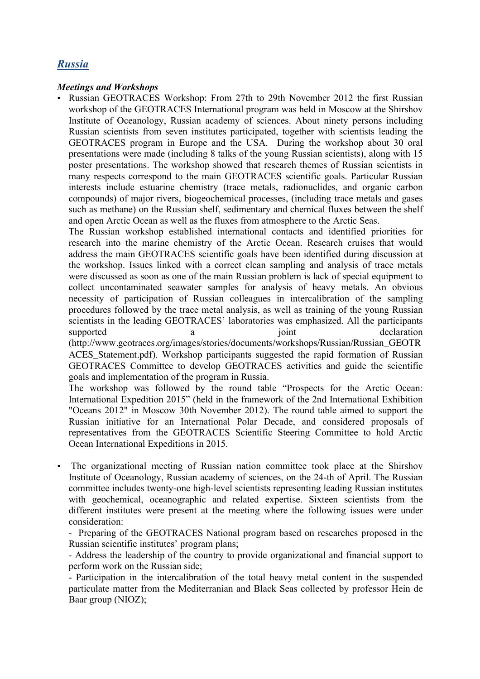## *Russia*

## *Meetings and Workshops*

• Russian GEOTRACES Workshop: From 27th to 29th November 2012 the first Russian workshop of the GEOTRACES International program was held in Moscow at the Shirshov Institute of Oceanology, Russian academy of sciences. About ninety persons including Russian scientists from seven institutes participated, together with scientists leading the GEOTRACES program in Europe and the USA. During the workshop about 30 oral presentations were made (including 8 talks of the young Russian scientists), along with 15 poster presentations. The workshop showed that research themes of Russian scientists in many respects correspond to the main GEOTRACES scientific goals. Particular Russian interests include estuarine chemistry (trace metals, radionuclides, and organic carbon compounds) of major rivers, biogeochemical processes, (including trace metals and gases such as methane) on the Russian shelf, sedimentary and chemical fluxes between the shelf and open Arctic Ocean as well as the fluxes from atmosphere to the Arctic Seas.

The Russian workshop established international contacts and identified priorities for research into the marine chemistry of the Arctic Ocean. Research cruises that would address the main GEOTRACES scientific goals have been identified during discussion at the workshop. Issues linked with a correct clean sampling and analysis of trace metals were discussed as soon as one of the main Russian problem is lack of special equipment to collect uncontaminated seawater samples for analysis of heavy metals. An obvious necessity of participation of Russian colleagues in intercalibration of the sampling procedures followed by the trace metal analysis, as well as training of the young Russian scientists in the leading GEOTRACES' laboratories was emphasized. All the participants supported a supported a supported a supported a supported a supported a supported a supported and  $\alpha$ (http://www.geotraces.org/images/stories/documents/workshops/Russian/Russian\_GEOTR ACES\_Statement.pdf). Workshop participants suggested the rapid formation of Russian GEOTRACES Committee to develop GEOTRACES activities and guide the scientific goals and implementation of the program in Russia.

The workshop was followed by the round table "Prospects for the Arctic Ocean: International Expedition 2015" (held in the framework of the 2nd International Exhibition "Oceans 2012" in Moscow 30th November 2012). The round table aimed to support the Russian initiative for an International Polar Decade, and considered proposals of representatives from the GEOTRACES Scientific Steering Committee to hold Arctic Ocean International Expeditions in 2015.

• The organizational meeting of Russian nation committee took place at the Shirshov Institute of Oceanology, Russian academy of sciences, on the 24-th of April. The Russian committee includes twenty-one high-level scientists representing leading Russian institutes with geochemical, oceanographic and related expertise. Sixteen scientists from the different institutes were present at the meeting where the following issues were under consideration:

- Preparing of the GEOTRACES National program based on researches proposed in the Russian scientific institutes' program plans;

- Address the leadership of the country to provide organizational and financial support to perform work on the Russian side;

- Participation in the intercalibration of the total heavy metal content in the suspended particulate matter from the Mediterranian and Black Seas collected by professor Hein de Baar group (NIOZ);